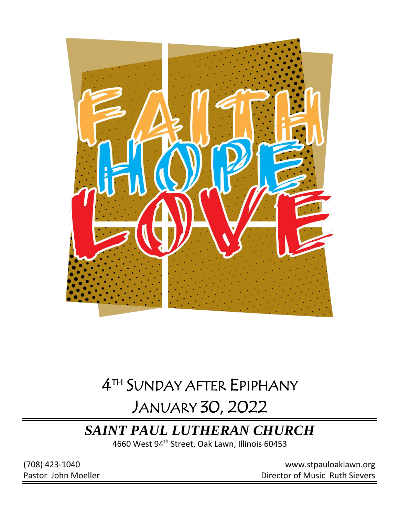

# 4 TH SUNDAY AFTER EPIPHANY JANUARY 30, 2022

# *SAINT PAUL LUTHERAN CHURCH*

4660 West 94th Street, Oak Lawn, Illinois 60453

(708) 423-1040 [www.stpauloaklawn.org](about:blank) Pastor John Moeller **Director of Music Ruth Sievers**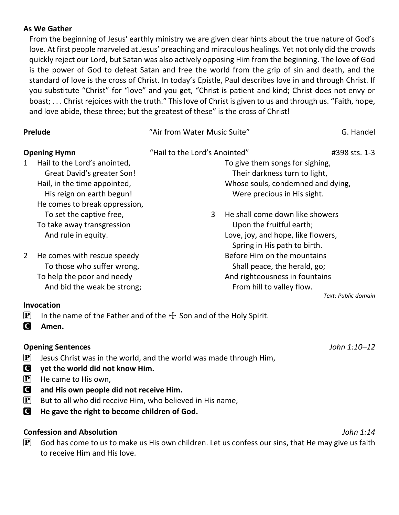## **As We Gather**

From the beginning of Jesus' earthly ministry we are given clear hints about the true nature of God's love. At first people marveled at Jesus' preaching and miraculous healings. Yet not only did the crowds quickly reject our Lord, but Satan was also actively opposing Him from the beginning. The love of God is the power of God to defeat Satan and free the world from the grip of sin and death, and the standard of love is the cross of Christ. In today's Epistle, Paul describes love in and through Christ. If you substitute "Christ" for "love" and you get, "Christ is patient and kind; Christ does not envy or boast; . . . Christ rejoices with the truth." This love of Christ is given to us and through us. "Faith, hope, and love abide, these three; but the greatest of these" is the cross of Christ!

| Prelude                                                                                                                                                       | "Air from Water Music Suite"                                                                                                           | G. Handel           |
|---------------------------------------------------------------------------------------------------------------------------------------------------------------|----------------------------------------------------------------------------------------------------------------------------------------|---------------------|
| <b>Opening Hymn</b>                                                                                                                                           | "Hail to the Lord's Anointed"                                                                                                          | #398 sts. 1-3       |
| Hail to the Lord's anointed,<br>1<br>Great David's greater Son!<br>Hail, in the time appointed,<br>His reign on earth begun!<br>He comes to break oppression, | To give them songs for sighing,<br>Their darkness turn to light,<br>Whose souls, condemned and dying,<br>Were precious in His sight.   |                     |
| To set the captive free,<br>To take away transgression<br>And rule in equity.                                                                                 | He shall come down like showers<br>3<br>Upon the fruitful earth;<br>Love, joy, and hope, like flowers,<br>Spring in His path to birth. |                     |
| He comes with rescue speedy<br>2<br>To those who suffer wrong,<br>To help the poor and needy<br>And bid the weak be strong;                                   | Before Him on the mountains<br>Shall peace, the herald, go;<br>And righteousness in fountains<br>From hill to valley flow.             | Text: Public domain |
| Invocation<br>$\left[\mathbf{P}\right]$                                                                                                                       | In the name of the Father and of the $+$ Son and of the Holy Spirit.                                                                   |                     |

C **Amen.**

## **Opening Sentences** *John 1:10–12*

- $\left| \mathbf{P} \right|$  Jesus Christ was in the world, and the world was made through Him,
- C **yet the world did not know Him.**
- $\left| \mathbf{P} \right|$  He came to His own,
- C **and His own people did not receive Him.**
- $\left| \mathbf{P} \right|$  But to all who did receive Him, who believed in His name,
- C **He gave the right to become children of God.**

## **Confession and Absolution** *John 1:14*

 $\mathbf{P}$  God has come to us to make us His own children. Let us confess our sins, that He may give us faith to receive Him and His love.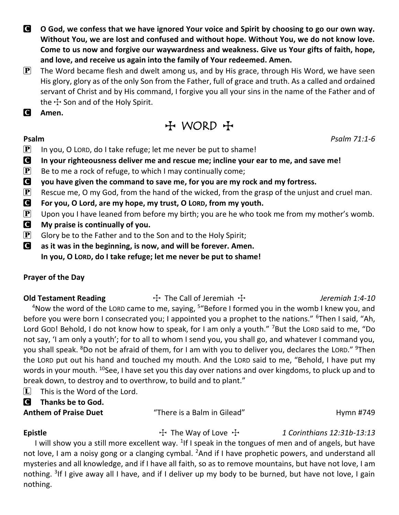- C **O God, we confess that we have ignored Your voice and Spirit by choosing to go our own way. Without You, we are lost and confused and without hope. Without You, we do not know love. Come to us now and forgive our waywardness and weakness. Give us Your gifts of faith, hope, and love, and receive us again into the family of Your redeemed. Amen.**
- $\mathbf{P}$  The Word became flesh and dwelt among us, and by His grace, through His Word, we have seen His glory, glory as of the only Son from the Father, full of grace and truth. As a called and ordained servant of Christ and by His command, I forgive you all your sins in the name of the Father and of the  $\pm$  Son and of the Holy Spirit.
- C **Amen.**

T WORD T

## **Psalm** *Psalm 71:1-6*

 $\boxed{\mathbf{P}}$  In you, O LORD, do I take refuge; let me never be put to shame!

- C **In your righteousness deliver me and rescue me; incline your ear to me, and save me!**
- $\mathbf{P}$  Be to me a rock of refuge, to which I may continually come;
- C **you have given the command to save me, for you are my rock and my fortress.**
- **P** Rescue me, O my God, from the hand of the wicked, from the grasp of the unjust and cruel man.
- C **For you, O Lord, are my hope, my trust, O LORD, from my youth.**
- **P** Upon you I have leaned from before my birth; you are he who took me from my mother's womb.
- C **My praise is continually of you.**
- $\mathbf{P}$  Glory be to the Father and to the Son and to the Holy Spirit;
- C **as it was in the beginning, is now, and will be forever. Amen. In you, O LORD, do I take refuge; let me never be put to shame!**

## **Prayer of the Day**

**Old Testament Reading**  $\uparrow$  The Call of Jeremiah  $\uparrow$  *Jeremiah 1:4-10* 

<sup>4</sup>Now the word of the LORD came to me, saying, <sup>5</sup> "Before I formed you in the womb I knew you, and before you were born I consecrated you; I appointed you a prophet to the nations." <sup>6</sup>Then I said, "Ah, Lord GOD! Behold, I do not know how to speak, for I am only a youth." <sup>7</sup>But the LORD said to me, "Do not say, 'I am only a youth'; for to all to whom I send you, you shall go, and whatever I command you, you shall speak. <sup>8</sup>Do not be afraid of them, for I am with you to deliver you, declares the LORD." <sup>9</sup>Then the LORD put out his hand and touched my mouth. And the LORD said to me, "Behold, I have put my words in your mouth. <sup>10</sup>See, I have set you this day over nations and over kingdoms, to pluck up and to break down, to destroy and to overthrow, to build and to plant."

- $\Box$  This is the Word of the Lord.
- C **Thanks be to God.**
- 

**Anthem of Praise Duet** "There is a Balm in Gilead" Hymn #749

**Epistle** The Way of Love  $\ddot{\tau}$  1 Corinthians 12:31b-13:13

I will show you a still more excellent way.  $1$ If I speak in the tongues of men and of angels, but have not love, I am a noisy gong or a clanging cymbal. <sup>2</sup>And if I have prophetic powers, and understand all mysteries and all knowledge, and if I have all faith, so as to remove mountains, but have not love, I am nothing. <sup>3</sup>If I give away all I have, and if I deliver up my body to be burned, but have not love, I gain nothing.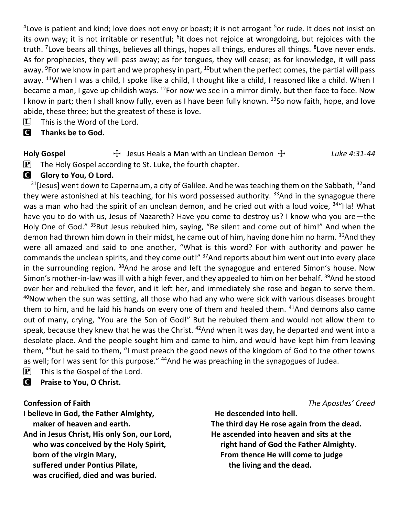<sup>4</sup> Love is patient and kind; love does not envy or boast; it is not arrogant <sup>5</sup>or rude. It does not insist on its own way; it is not irritable or resentful; <sup>6</sup>it does not rejoice at wrongdoing, but rejoices with the truth. <sup>7</sup>Love bears all things, believes all things, hopes all things, endures all things. <sup>8</sup>Love never ends. As for prophecies, they will pass away; as for tongues, they will cease; as for knowledge, it will pass away. <sup>9</sup>For we know in part and we prophesy in part, <sup>10</sup>but when the perfect comes, the partial will pass away. <sup>11</sup>When I was a child, I spoke like a child, I thought like a child, I reasoned like a child. When I became a man, I gave up childish ways. <sup>12</sup>For now we see in a mirror dimly, but then face to face. Now I know in part; then I shall know fully, even as I have been fully known.  $^{13}$ So now faith, hope, and love abide, these three; but the greatest of these is love.

- $\[\mathbf{\overline{L}}\]$  This is the Word of the Lord.
- C **Thanks be to God.**

**Holy Gospel** T Jesus Heals a Man with an Unclean Demon T *Luke 4:31-44*  $\left[ \mathbf{P} \right]$  The Holy Gospel according to St. Luke, the fourth chapter.

## **G** Glory to You, O Lord.

 $31$ [Jesus] went down to Capernaum, a city of Galilee. And he was teaching them on the Sabbath,  $32$  and they were astonished at his teaching, for his word possessed authority.  $33$ And in the synagogue there was a man who had the spirit of an unclean demon, and he cried out with a loud voice, <sup>34</sup> Ha! What have you to do with us, Jesus of Nazareth? Have you come to destroy us? I know who you are—the Holy One of God." <sup>35</sup>But Jesus rebuked him, saying, "Be silent and come out of him!" And when the demon had thrown him down in their midst, he came out of him, having done him no harm. <sup>36</sup>And they were all amazed and said to one another, "What is this word? For with authority and power he commands the unclean spirits, and they come out!" <sup>37</sup>And reports about him went out into every place in the surrounding region. <sup>38</sup>And he arose and left the synagogue and entered Simon's house. Now Simon's mother-in-law was ill with a high fever, and they appealed to him on her behalf. <sup>39</sup>And he stood over her and rebuked the fever, and it left her, and immediately she rose and began to serve them.  $40$ Now when the sun was setting, all those who had any who were sick with various diseases brought them to him, and he laid his hands on every one of them and healed them. <sup>41</sup>And demons also came out of many, crying, "You are the Son of God!" But he rebuked them and would not allow them to speak, because they knew that he was the Christ. <sup>42</sup>And when it was day, he departed and went into a desolate place. And the people sought him and came to him, and would have kept him from leaving them, <sup>43</sup>but he said to them, "I must preach the good news of the kingdom of God to the other towns as well; for I was sent for this purpose." <sup>44</sup>And he was preaching in the synagogues of Judea.

 $\left| \mathbf{P} \right|$  This is the Gospel of the Lord.

C **Praise to You, O Christ.**

**I believe in God, the Father Almighty, maker of heaven and earth. And in Jesus Christ, His only Son, our Lord, who was conceived by the Holy Spirit, born of the virgin Mary, suffered under Pontius Pilate, was crucified, died and was buried.**

**Confession of Faith** *The Apostles' Creed*

 **He descended into hell. The third day He rose again from the dead. He ascended into heaven and sits at the right hand of God the Father Almighty. From thence He will come to judge the living and the dead.**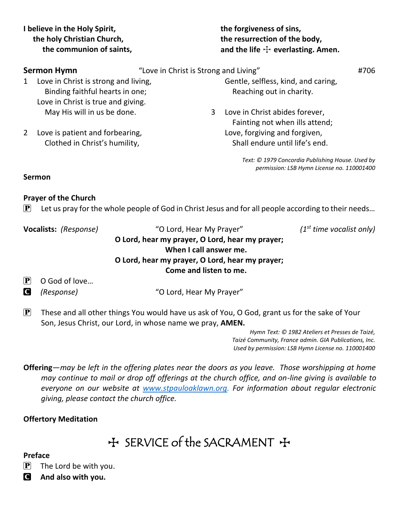**I believe in the Holy Spirit, the holy Christian Church, the communion of saints,**  **the forgiveness of sins, the resurrection of the body,** and the life  $\div$  everlasting. Amen.

|   | <b>Sermon Hymn</b>                                                                                            | "Love in Christ is Strong and Living" |                                                                  | #706 |
|---|---------------------------------------------------------------------------------------------------------------|---------------------------------------|------------------------------------------------------------------|------|
| 1 | Love in Christ is strong and living,<br>Binding faithful hearts in one;<br>Love in Christ is true and giving. |                                       | Gentle, selfless, kind, and caring,<br>Reaching out in charity.  |      |
|   | May His will in us be done.                                                                                   | 3                                     | Love in Christ abides forever,<br>Fainting not when ills attend; |      |
|   | Love is patient and forbearing,<br>Clothed in Christ's humility,                                              |                                       | Love, forgiving and forgiven,<br>Shall endure until life's end.  |      |

*Text: © 1979 Concordia Publishing House. Used by permission: LSB Hymn License no. 110001400*

## **Sermon**

## **Prayer of the Church**

 $\mathbf{P}$  Let us pray for the whole people of God in Christ Jesus and for all people according to their needs...

| Vocalists: (Response) |               | "O Lord, Hear My Prayer"                        | $(1st$ time vocalist only) |
|-----------------------|---------------|-------------------------------------------------|----------------------------|
|                       |               | O Lord, hear my prayer, O Lord, hear my prayer; |                            |
|                       |               | When I call answer me.                          |                            |
|                       |               | O Lord, hear my prayer, O Lord, hear my prayer; |                            |
|                       |               | Come and listen to me.                          |                            |
| $ {\bf P} $           | O God of love |                                                 |                            |
| <b>C</b>              | (Response)    | "O Lord, Hear My Prayer"                        |                            |
|                       |               |                                                 |                            |

 $\mathbf{P}$  These and all other things You would have us ask of You, O God, grant us for the sake of Your Son, Jesus Christ, our Lord, in whose name we pray, **AMEN.**

> *Hymn Text: © 1982 Ateliers et Presses de Taizé, Taizé Community, France admin. GIA Publications, Inc. Used by permission: LSB Hymn License no. 110001400*

**Offering**—*may be left in the offering plates near the doors as you leave. Those worshipping at home may continue to mail or drop off offerings at the church office, and on-line giving is available to everyone on our website at [www.stpauloaklawn.org.](http://www.stpauloaklawn.org/) For information about regular electronic giving, please contact the church office.* 

## **Offertory Meditation**

 $H$  SERVICE of the SACRAMENT  $H$ 

## **Preface**

 $\left| \mathbf{P} \right|$  The Lord be with you.

C **And also with you.**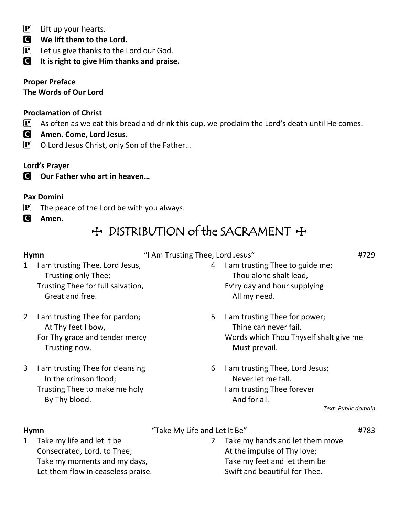- $\left| \mathbf{P} \right|$  Lift up your hearts.
- C **We lift them to the Lord.**
- $\left| \mathbf{P} \right|$  Let us give thanks to the Lord our God.

C **It is right to give Him thanks and praise.**

**Proper Preface The Words of Our Lord**

## **Proclamation of Christ**

- $\mathbf{P}$  As often as we eat this bread and drink this cup, we proclaim the Lord's death until He comes.
- C **Amen. Come, Lord Jesus.**
- $\mathbf{P}$  O Lord Jesus Christ, only Son of the Father...

## **Lord's Prayer**

C **Our Father who art in heaven…**

## **Pax Domini**

- $\mathbf{P}$  The peace of the Lord be with you always.
- C **Amen.**

## + DISTRIBUTION of the SACRAMENT +

**Hymn**  $\blacksquare$  **Hymn**  $\blacksquare$  **Hymn**  $\blacksquare$  **H** $\blacksquare$  **H** $\blacksquare$  **H** $\blacksquare$  **H** $\blacksquare$  **H** $\blacksquare$  **H** $\blacksquare$  **H** $\blacksquare$  **H** $\blacksquare$  **H** $\blacksquare$  **H** $\blacksquare$  **H** $\blacksquare$  **H** $\blacksquare$  **H** $\blacksquare$  **H** $\blacksquare$  **H** $\blacksquare$  **H** $\blacksquare$  **H** $\blacksquare$  **H** $\blacksquare$ 

- 1 I am trusting Thee, Lord Jesus, Trusting only Thee; Trusting Thee for full salvation, Great and free.
- 2 I am trusting Thee for pardon; At Thy feet I bow, For Thy grace and tender mercy Trusting now.
- 3 I am trusting Thee for cleansing In the crimson flood; Trusting Thee to make me holy By Thy blood.
- 4 I am trusting Thee to guide me; Thou alone shalt lead, Ev'ry day and hour supplying All my need.
- 5 I am trusting Thee for power; Thine can never fail. Words which Thou Thyself shalt give me Must prevail.
- 6 I am trusting Thee, Lord Jesus; Never let me fall. I am trusting Thee forever And for all.

### *Text: Public domain*

## Hymn **Hymn Hymn Hymn Hymn Hymn H**783

1 Take my life and let it be Consecrated, Lord, to Thee; Take my moments and my days, Let them flow in ceaseless praise.

2 Take my hands and let them move At the impulse of Thy love; Take my feet and let them be Swift and beautiful for Thee.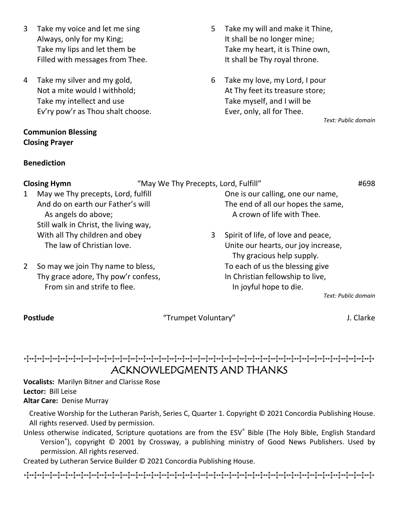- 3 Take my voice and let me sing Always, only for my King; Take my lips and let them be Filled with messages from Thee.
- 4 Take my silver and my gold, Not a mite would I withhold; Take my intellect and use Ev'ry pow'r as Thou shalt choose.

## **Communion Blessing Closing Prayer**

## **Benediction**

- 5 Take my will and make it Thine, It shall be no longer mine; Take my heart, it is Thine own, It shall be Thy royal throne.
- 6 Take my love, my Lord, I pour At Thy feet its treasure store; Take myself, and I will be Ever, only, all for Thee.

*Text: Public domain*

|              | <b>Closing Hymn</b>                   | "May We Thy Precepts, Lord, Fulfill" |                                                                  | #698                           |
|--------------|---------------------------------------|--------------------------------------|------------------------------------------------------------------|--------------------------------|
| $\mathbf{1}$ | May we Thy precepts, Lord, fulfill    |                                      | One is our calling, one our name,                                |                                |
|              | And do on earth our Father's will     |                                      | The end of all our hopes the same,                               |                                |
|              | As angels do above;                   |                                      | A crown of life with Thee.                                       |                                |
|              | Still walk in Christ, the living way, |                                      |                                                                  |                                |
|              | With all Thy children and obey        | 3                                    | Spirit of life, of love and peace,                               |                                |
|              | The law of Christian love.            |                                      | Unite our hearts, our joy increase,<br>Thy gracious help supply. |                                |
| <sup>2</sup> | So may we join Thy name to bless,     |                                      | To each of us the blessing give                                  |                                |
|              | Thy grace adore, Thy pow'r confess,   |                                      | In Christian fellowship to live,                                 |                                |
|              | From sin and strife to flee.          |                                      | In joyful hope to die.                                           |                                |
|              |                                       |                                      |                                                                  | Taraka Dan bili a shekara a ta |

### *Text: Public domain*

**Postlude** and the settlem of the "Trumpet Voluntary" and the settlem and the settlem of the settlem of the set

## TTTTTTTTTTTTTTTTTTTTTTTTTTTTTTTTTTTTTTTTTTTTT ACKNOWLEDGMENTS AND THANKS

**Vocalists:** Marilyn Bitner and Clarisse Rose **Lector:** Bill Leise **Altar Care:** Denise Murray

Creative Worship for the Lutheran Parish, Series C, Quarter 1. Copyright © 2021 Concordia Publishing House. All rights reserved. Used by permission.

Unless otherwise indicated, Scripture quotations are from the ESV® Bible (The Holy Bible, English Standard Version® ), copyright © 2001 by Crossway, a publishing ministry of Good News Publishers. Used by permission. All rights reserved.

Created by Lutheran Service Builder © 2021 Concordia Publishing House.

TTTTTTTTTTTTTTTTTTTTTTTTTTTTTTTTTTTTTTTTTTTTT